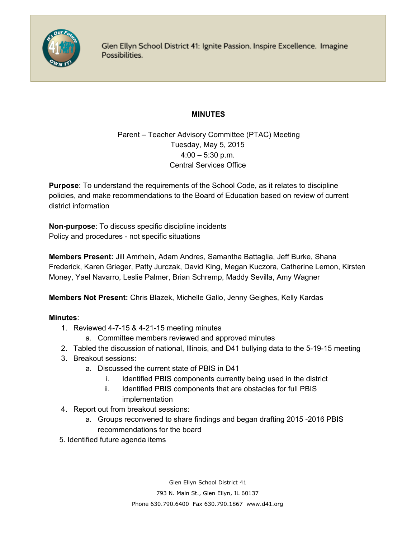

Glen Ellyn School District 41: Ignite Passion. Inspire Excellence. Imagine Possibilities.

## **MINUTES**

Parent – Teacher Advisory Committee (PTAC) Meeting Tuesday, May 5, 2015  $4:00 - 5:30$  p.m. Central Services Office

**Purpose**: To understand the requirements of the School Code, as it relates to discipline policies, and make recommendations to the Board of Education based on review of current district information

**Non-purpose:** To discuss specific discipline incidents Policy and procedures - not specific situations

**Members Present:** Jill Amrhein, Adam Andres, Samantha Battaglia, Jeff Burke, Shana Frederick, Karen Grieger, Patty Jurczak, David King, Megan Kuczora, Catherine Lemon, Kirsten Money, Yael Navarro, Leslie Palmer, Brian Schremp, Maddy Sevilla, Amy Wagner

**Members Not Present:**Chris Blazek, Michelle Gallo, Jenny Geighes, Kelly Kardas

## **Minutes**:

- 1. Reviewed 4-7-15 & 4-21-15 meeting minutes
	- a. Committee members reviewed and approved minutes
- 2. Tabled the discussion of national, Illinois, and D41 bullying data to the 5-19-15 meeting
- 3. Breakout sessions:
	- a. Discussed the current state of PBIS in D41
		- i. Identified PBIS components currently being used in the district
		- ii. Identified PBIS components that are obstacles for full PBIS implementation
- 4. Report out from breakout sessions:
	- a. Groups reconvened to share findings and began drafting 2015 2016 PBIS recommendations for the board
- 5. Identified future agenda items